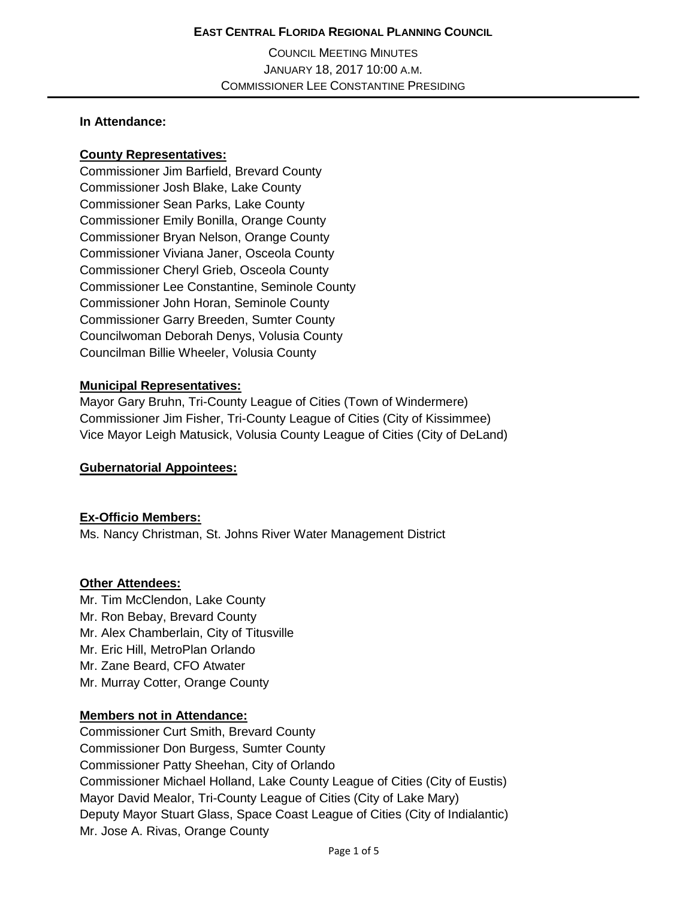# **EAST CENTRAL FLORIDA REGIONAL PLANNING COUNCIL**

COUNCIL MEETING MINUTES JANUARY 18, 2017 10:00 A.M. COMMISSIONER LEE CONSTANTINE PRESIDING

#### **In Attendance:**

#### **County Representatives:**

Commissioner Jim Barfield, Brevard County Commissioner Josh Blake, Lake County Commissioner Sean Parks, Lake County Commissioner Emily Bonilla, Orange County Commissioner Bryan Nelson, Orange County Commissioner Viviana Janer, Osceola County Commissioner Cheryl Grieb, Osceola County Commissioner Lee Constantine, Seminole County Commissioner John Horan, Seminole County Commissioner Garry Breeden, Sumter County Councilwoman Deborah Denys, Volusia County Councilman Billie Wheeler, Volusia County

#### **Municipal Representatives:**

Mayor Gary Bruhn, Tri-County League of Cities (Town of Windermere) Commissioner Jim Fisher, Tri-County League of Cities (City of Kissimmee) Vice Mayor Leigh Matusick, Volusia County League of Cities (City of DeLand)

### **Gubernatorial Appointees:**

#### **Ex-Officio Members:**

Ms. Nancy Christman, St. Johns River Water Management District

#### **Other Attendees:**

Mr. Tim McClendon, Lake County Mr. Ron Bebay, Brevard County Mr. Alex Chamberlain, City of Titusville Mr. Eric Hill, MetroPlan Orlando Mr. Zane Beard, CFO Atwater Mr. Murray Cotter, Orange County

### **Members not in Attendance:**

Commissioner Curt Smith, Brevard County Commissioner Don Burgess, Sumter County Commissioner Patty Sheehan, City of Orlando Commissioner Michael Holland, Lake County League of Cities (City of Eustis) Mayor David Mealor, Tri-County League of Cities (City of Lake Mary) Deputy Mayor Stuart Glass, Space Coast League of Cities (City of Indialantic) Mr. Jose A. Rivas, Orange County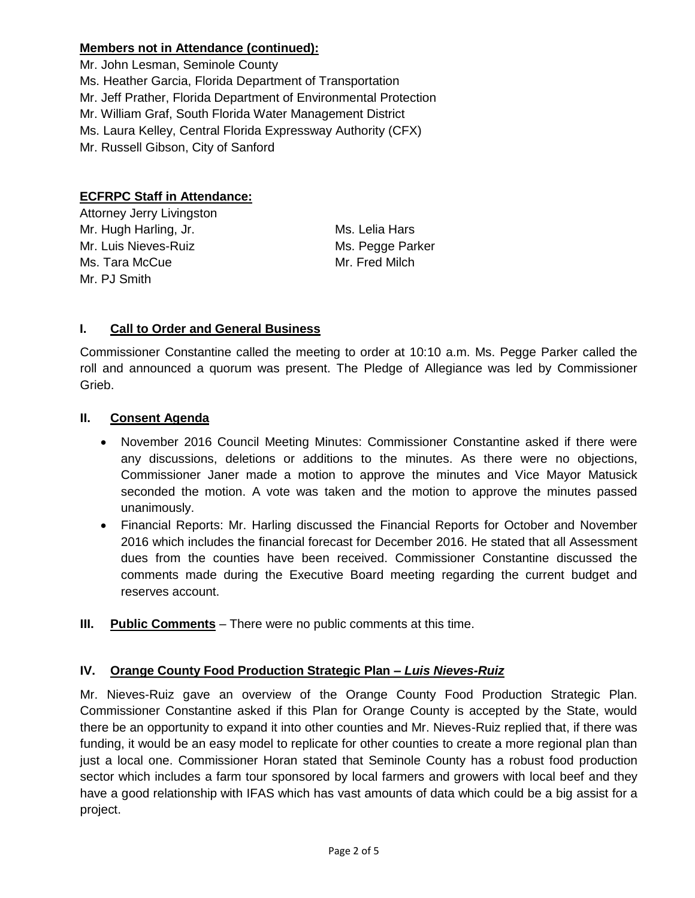# **Members not in Attendance (continued):**

Mr. John Lesman, Seminole County Ms. Heather Garcia, Florida Department of Transportation Mr. Jeff Prather, Florida Department of Environmental Protection Mr. William Graf, South Florida Water Management District Ms. Laura Kelley, Central Florida Expressway Authority (CFX) Mr. Russell Gibson, City of Sanford

# **ECFRPC Staff in Attendance:**

| Attorney Jerry Livingston |                  |
|---------------------------|------------------|
| Mr. Hugh Harling, Jr.     | Ms. Lelia Hars   |
| Mr. Luis Nieves-Ruiz      | Ms. Pegge Parker |
| Ms. Tara McCue            | Mr. Fred Milch   |
| Mr. PJ Smith              |                  |

## **I. Call to Order and General Business**

Commissioner Constantine called the meeting to order at 10:10 a.m. Ms. Pegge Parker called the roll and announced a quorum was present. The Pledge of Allegiance was led by Commissioner Grieb.

#### **II. Consent Agenda**

- November 2016 Council Meeting Minutes: Commissioner Constantine asked if there were any discussions, deletions or additions to the minutes. As there were no objections, Commissioner Janer made a motion to approve the minutes and Vice Mayor Matusick seconded the motion. A vote was taken and the motion to approve the minutes passed unanimously.
- Financial Reports: Mr. Harling discussed the Financial Reports for October and November 2016 which includes the financial forecast for December 2016. He stated that all Assessment dues from the counties have been received. Commissioner Constantine discussed the comments made during the Executive Board meeting regarding the current budget and reserves account.
- **III. Public Comments** There were no public comments at this time.

### **IV. Orange County Food Production Strategic Plan –** *Luis Nieves-Ruiz*

Mr. Nieves-Ruiz gave an overview of the Orange County Food Production Strategic Plan. Commissioner Constantine asked if this Plan for Orange County is accepted by the State, would there be an opportunity to expand it into other counties and Mr. Nieves-Ruiz replied that, if there was funding, it would be an easy model to replicate for other counties to create a more regional plan than just a local one. Commissioner Horan stated that Seminole County has a robust food production sector which includes a farm tour sponsored by local farmers and growers with local beef and they have a good relationship with IFAS which has vast amounts of data which could be a big assist for a project.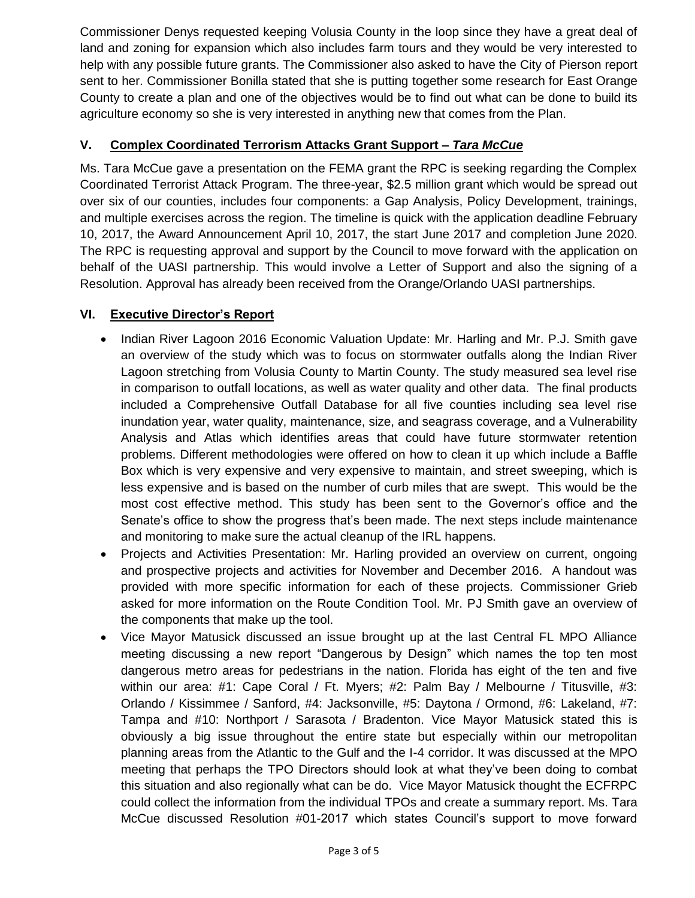Commissioner Denys requested keeping Volusia County in the loop since they have a great deal of land and zoning for expansion which also includes farm tours and they would be very interested to help with any possible future grants. The Commissioner also asked to have the City of Pierson report sent to her. Commissioner Bonilla stated that she is putting together some research for East Orange County to create a plan and one of the objectives would be to find out what can be done to build its agriculture economy so she is very interested in anything new that comes from the Plan.

# **V. Complex Coordinated Terrorism Attacks Grant Support –** *Tara McCue*

Ms. Tara McCue gave a presentation on the FEMA grant the RPC is seeking regarding the Complex Coordinated Terrorist Attack Program. The three-year, \$2.5 million grant which would be spread out over six of our counties, includes four components: a Gap Analysis, Policy Development, trainings, and multiple exercises across the region. The timeline is quick with the application deadline February 10, 2017, the Award Announcement April 10, 2017, the start June 2017 and completion June 2020. The RPC is requesting approval and support by the Council to move forward with the application on behalf of the UASI partnership. This would involve a Letter of Support and also the signing of a Resolution. Approval has already been received from the Orange/Orlando UASI partnerships.

# **VI. Executive Director's Report**

- Indian River Lagoon 2016 Economic Valuation Update: Mr. Harling and Mr. P.J. Smith gave an overview of the study which was to focus on stormwater outfalls along the Indian River Lagoon stretching from Volusia County to Martin County. The study measured sea level rise in comparison to outfall locations, as well as water quality and other data. The final products included a Comprehensive Outfall Database for all five counties including sea level rise inundation year, water quality, maintenance, size, and seagrass coverage, and a Vulnerability Analysis and Atlas which identifies areas that could have future stormwater retention problems. Different methodologies were offered on how to clean it up which include a Baffle Box which is very expensive and very expensive to maintain, and street sweeping, which is less expensive and is based on the number of curb miles that are swept. This would be the most cost effective method. This study has been sent to the Governor's office and the Senate's office to show the progress that's been made. The next steps include maintenance and monitoring to make sure the actual cleanup of the IRL happens.
- Projects and Activities Presentation: Mr. Harling provided an overview on current, ongoing and prospective projects and activities for November and December 2016. A handout was provided with more specific information for each of these projects. Commissioner Grieb asked for more information on the Route Condition Tool. Mr. PJ Smith gave an overview of the components that make up the tool.
- Vice Mayor Matusick discussed an issue brought up at the last Central FL MPO Alliance meeting discussing a new report "Dangerous by Design" which names the top ten most dangerous metro areas for pedestrians in the nation. Florida has eight of the ten and five within our area: #1: Cape Coral / Ft. Myers; #2: Palm Bay / Melbourne / Titusville, #3: Orlando / Kissimmee / Sanford, #4: Jacksonville, #5: Daytona / Ormond, #6: Lakeland, #7: Tampa and #10: Northport / Sarasota / Bradenton. Vice Mayor Matusick stated this is obviously a big issue throughout the entire state but especially within our metropolitan planning areas from the Atlantic to the Gulf and the I-4 corridor. It was discussed at the MPO meeting that perhaps the TPO Directors should look at what they've been doing to combat this situation and also regionally what can be do. Vice Mayor Matusick thought the ECFRPC could collect the information from the individual TPOs and create a summary report. Ms. Tara McCue discussed Resolution #01-2017 which states Council's support to move forward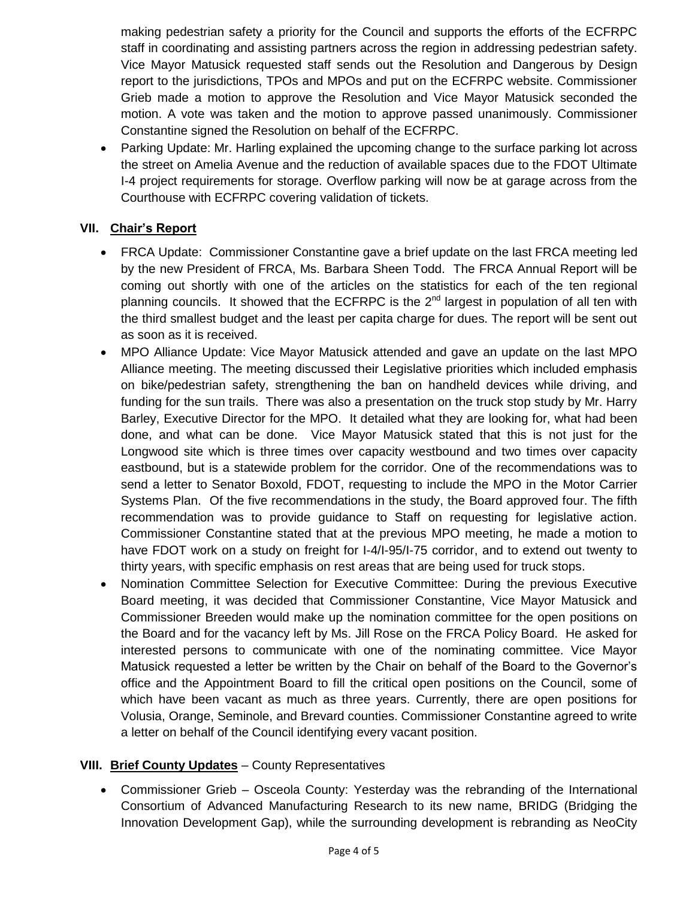making pedestrian safety a priority for the Council and supports the efforts of the ECFRPC staff in coordinating and assisting partners across the region in addressing pedestrian safety. Vice Mayor Matusick requested staff sends out the Resolution and Dangerous by Design report to the jurisdictions, TPOs and MPOs and put on the ECFRPC website. Commissioner Grieb made a motion to approve the Resolution and Vice Mayor Matusick seconded the motion. A vote was taken and the motion to approve passed unanimously. Commissioner Constantine signed the Resolution on behalf of the ECFRPC.

 Parking Update: Mr. Harling explained the upcoming change to the surface parking lot across the street on Amelia Avenue and the reduction of available spaces due to the FDOT Ultimate I-4 project requirements for storage. Overflow parking will now be at garage across from the Courthouse with ECFRPC covering validation of tickets.

# **VII. Chair's Report**

- FRCA Update: Commissioner Constantine gave a brief update on the last FRCA meeting led by the new President of FRCA, Ms. Barbara Sheen Todd. The FRCA Annual Report will be coming out shortly with one of the articles on the statistics for each of the ten regional planning councils. It showed that the ECFRPC is the  $2<sup>nd</sup>$  largest in population of all ten with the third smallest budget and the least per capita charge for dues. The report will be sent out as soon as it is received.
- MPO Alliance Update: Vice Mayor Matusick attended and gave an update on the last MPO Alliance meeting. The meeting discussed their Legislative priorities which included emphasis on bike/pedestrian safety, strengthening the ban on handheld devices while driving, and funding for the sun trails. There was also a presentation on the truck stop study by Mr. Harry Barley, Executive Director for the MPO. It detailed what they are looking for, what had been done, and what can be done. Vice Mayor Matusick stated that this is not just for the Longwood site which is three times over capacity westbound and two times over capacity eastbound, but is a statewide problem for the corridor. One of the recommendations was to send a letter to Senator Boxold, FDOT, requesting to include the MPO in the Motor Carrier Systems Plan. Of the five recommendations in the study, the Board approved four. The fifth recommendation was to provide guidance to Staff on requesting for legislative action. Commissioner Constantine stated that at the previous MPO meeting, he made a motion to have FDOT work on a study on freight for I-4/I-95/I-75 corridor, and to extend out twenty to thirty years, with specific emphasis on rest areas that are being used for truck stops.
- Nomination Committee Selection for Executive Committee: During the previous Executive Board meeting, it was decided that Commissioner Constantine, Vice Mayor Matusick and Commissioner Breeden would make up the nomination committee for the open positions on the Board and for the vacancy left by Ms. Jill Rose on the FRCA Policy Board. He asked for interested persons to communicate with one of the nominating committee. Vice Mayor Matusick requested a letter be written by the Chair on behalf of the Board to the Governor's office and the Appointment Board to fill the critical open positions on the Council, some of which have been vacant as much as three years. Currently, there are open positions for Volusia, Orange, Seminole, and Brevard counties. Commissioner Constantine agreed to write a letter on behalf of the Council identifying every vacant position.

### **VIII. Brief County Updates** – County Representatives

 Commissioner Grieb – Osceola County: Yesterday was the rebranding of the International Consortium of Advanced Manufacturing Research to its new name, BRIDG (Bridging the Innovation Development Gap), while the surrounding development is rebranding as NeoCity